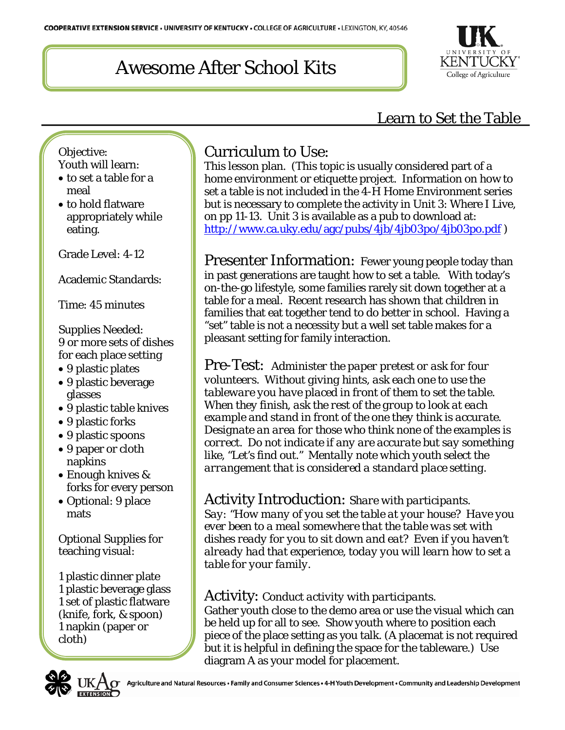

## Learn to Set the Table

Objective: Youth will learn:

- to set a table for a meal
- to hold flatware appropriately while eating.

Grade Level: 4-12

Academic Standards:

Time: 45 minutes

Supplies Needed: 9 or more sets of dishes for each place setting

- 9 plastic plates
- 9 plastic beverage glasses
- 9 plastic table knives
- 9 plastic forks
- 9 plastic spoons
- 9 paper or cloth napkins
- Enough knives & forks for every person
- Optional: 9 place mats

Optional Supplies for teaching visual:

1 plastic dinner plate 1 plastic beverage glass 1 set of plastic flatware (knife, fork, & spoon) 1 napkin (paper or cloth)

L

## Curriculum to Use:

This lesson plan. (This topic is usually considered part of a home environment or etiquette project. Information on how to set a table is not included in the 4-H Home Environment series but is necessary to complete the activity in Unit 3: Where I Live, on pp 11-13. Unit 3 is available as a pub to download at: <http://www.ca.uky.edu/agc/pubs/4jb/4jb03po/4jb03po.pdf>)

Presenter Information: Fewer young people today than in past generations are taught how to set a table. With today's on-the-go lifestyle, some families rarely sit down together at a table for a meal. Recent research has shown that children in families that eat together tend to do better in school. Having a "set" table is not a necessity but a well set table makes for a pleasant setting for family interaction.

Pre-Test: *Administer the paper pretest or ask for four volunteers. Without giving hints, ask each one to use the tableware you have placed in front of them to set the table. When they finish, ask the rest of the group to look at each example and stand in front of the one they think is accurate. Designate an area for those who think none of the examples is correct. Do not indicate if any are accurate but say something like, "Let's find out." Mentally note which youth select the arrangement that is considered a standard place setting.*

### Activity Introduction: *Share with participants.*

*Say: "How many of you set the table at your house? Have you ever been to a meal somewhere that the table was set with dishes ready for you to sit down and eat? Even if you haven't already had that experience, today you will learn how to set a table for your family.* 

#### Activity: *Conduct activity with participants.*

Gather youth close to the demo area or use the visual which can be held up for all to see. Show youth where to position each piece of the place setting as you talk. (A placemat is not required but it is helpful in defining the space for the tableware.) Use diagram A as your model for placement.

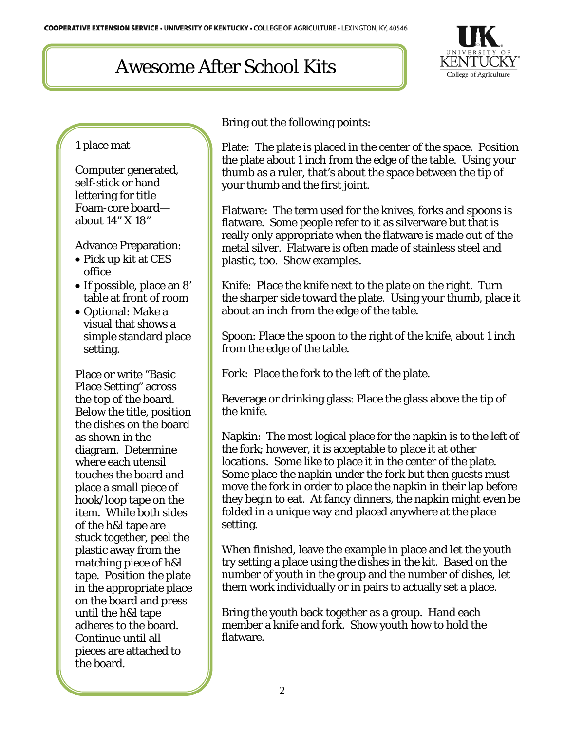

#### 1 place mat

Computer generated, self-stick or hand lettering for title Foam-core board about 14" X 18"

Advance Preparation:

- Pick up kit at CES office
- If possible, place an 8' table at front of room
- Optional: Make a visual that shows a simple standard place setting.

Place or write "Basic Place Setting" across the top of the board. Below the title, position the dishes on the board as shown in the diagram. Determine where each utensil touches the board and place a small piece of hook/loop tape on the item. While both sides of the h&l tape are stuck together, peel the plastic away from the matching piece of h&l tape. Position the plate in the appropriate place on the board and press until the h&l tape adheres to the board. Continue until all pieces are attached to the board.

Bring out the following points:

Plate: The plate is placed in the center of the space. Position the plate about 1 inch from the edge of the table. Using your thumb as a ruler, that's about the space between the tip of your thumb and the first joint.

Flatware: The term used for the knives, forks and spoons is flatware. Some people refer to it as silverware but that is really only appropriate when the flatware is made out of the metal silver. Flatware is often made of stainless steel and plastic, too. Show examples.

Knife: Place the knife next to the plate on the right. Turn the sharper side toward the plate. Using your thumb, place it about an inch from the edge of the table.

Spoon: Place the spoon to the right of the knife, about 1 inch from the edge of the table.

Fork: Place the fork to the left of the plate.

Beverage or drinking glass: Place the glass above the tip of the knife.

Napkin: The most logical place for the napkin is to the left of the fork; however, it is acceptable to place it at other locations. Some like to place it in the center of the plate. Some place the napkin under the fork but then guests must move the fork in order to place the napkin in their lap before they begin to eat. At fancy dinners, the napkin might even be folded in a unique way and placed anywhere at the place setting.

When finished, leave the example in place and let the youth try setting a place using the dishes in the kit. Based on the number of youth in the group and the number of dishes, let them work individually or in pairs to actually set a place.

Bring the youth back together as a group. Hand each member a knife and fork. Show youth how to hold the flatware.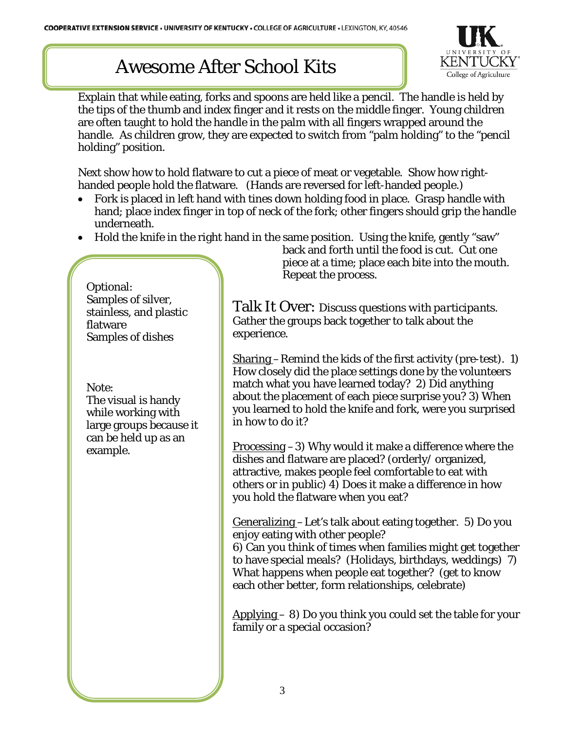

Explain that while eating, forks and spoons are held like a pencil. The handle is held by the tips of the thumb and index finger and it rests on the middle finger. Young children are often taught to hold the handle in the palm with all fingers wrapped around the handle. As children grow, they are expected to switch from "palm holding" to the "pencil holding" position.

Next show how to hold flatware to cut a piece of meat or vegetable. Show how righthanded people hold the flatware. (Hands are reversed for left-handed people.)

- Fork is placed in left hand with tines down holding food in place. Grasp handle with hand; place index finger in top of neck of the fork; other fingers should grip the handle underneath.
- Hold the knife in the right hand in the same position. Using the knife, gently "saw"

Optional: Samples of silver, stainless, and plastic flatware Samples of dishes

Note:

The visual is handy while working with large groups because it can be held up as an example.

back and forth until the food is cut. Cut one piece at a time; place each bite into the mouth. Repeat the process.

Talk It Over: *Discuss questions with participants.* Gather the groups back together to talk about the experience.

Sharing –Remind the kids of the first activity (pre-test). 1) How closely did the place settings done by the volunteers match what you have learned today? 2) Did anything about the placement of each piece surprise you? 3) When you learned to hold the knife and fork, were you surprised in how to do it?

Processing –3) Why would it make a difference where the dishes and flatware are placed? (orderly/ organized, attractive, makes people feel comfortable to eat with others or in public) 4) Does it make a difference in how you hold the flatware when you eat?

Generalizing –Let's talk about eating together. 5) Do you enjoy eating with other people?

6) Can you think of times when families might get together to have special meals? (Holidays, birthdays, weddings) 7) What happens when people eat together? (get to know each other better, form relationships, celebrate)

Applying – 8) Do you think you could set the table for your family or a special occasion?